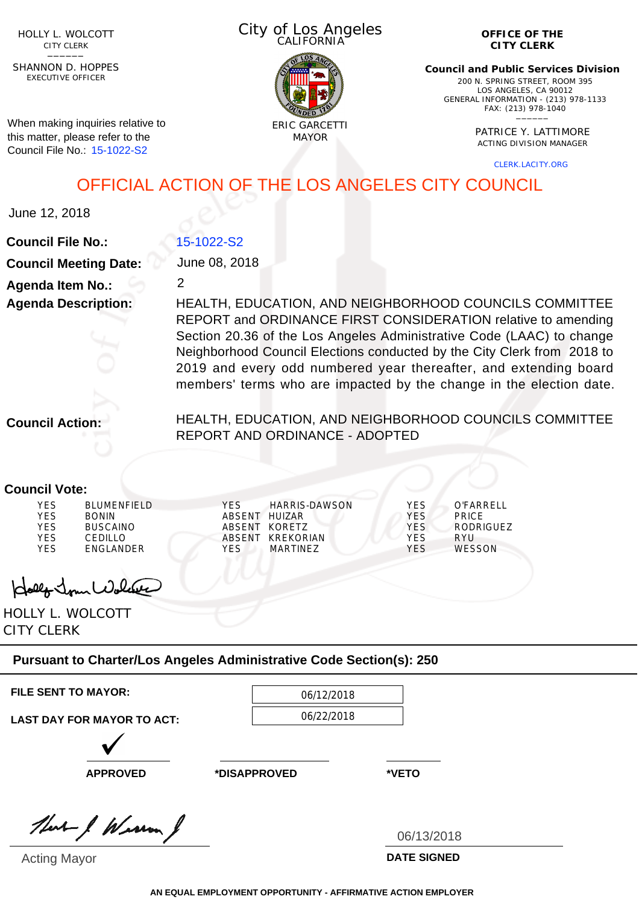HOLLY L. WOLCOTT CITY CLERK<br>—————

EXECUTIVE OFFICER SHANNON D. HOPPES

When making inquiries relative to this matter, please refer to the Council File No.: 15-1022-S2

City of Los Angeles **CALIFORNIA** 



**OFFICE OF THE CITY CLERK**

**Council and Public Services Division** 200 N. SPRING STREET, ROOM 395 LOS ANGELES, CA 90012 GENERAL INFORMATION - (213) 978-1133 FAX: (213) 978-1040 \_\_\_\_\_\_

> PATRICE Y. LATTIMORE ACTING DIVISION MANAGER

> > CLERK.LACITY.ORG

OFFICIAL ACTION OF THE LOS ANGELES CITY COUNCIL

June 12, 2018

**Council File No.:**

| 15-1022-S2 |  |
|------------|--|
|            |  |

2

**Council Meeting Date: Agenda Item No.: Agenda Description:**

June 08, 2018

HEALTH, EDUCATION, AND NEIGHBORHOOD COUNCILS COMMITTEE REPORT and ORDINANCE FIRST CONSIDERATION relative to amending Section 20.36 of the Los Angeles Administrative Code (LAAC) to change Neighborhood Council Elections conducted by the City Clerk from 2018 to 2019 and every odd numbered year thereafter, and extending board members' terms who are impacted by the change in the election date.

**Council Action:**

HEALTH, EDUCATION, AND NEIGHBORHOOD COUNCILS COMMITTEE REPORT AND ORDINANCE - ADOPTED

## **Council Vote:**

Holly Jour Wolve

HOLLY L. WOLCOTT CITY CLERK

## **Pursuant to Charter/Los Angeles Administrative Code Section(s): 250**

**FILE SENT TO MAYOR:** 06/12/2018

06/22/2018

**LAST DAY FOR MAYOR TO ACT:**

**APPROVED \*DISAPPROVED \*VETO**

that I Weren J

Acting Mayor

06/13/2018

**DATE SIGNED**

**AN EQUAL EMPLOYMENT OPPORTUNITY - AFFIRMATIVE ACTION EMPLOYER**